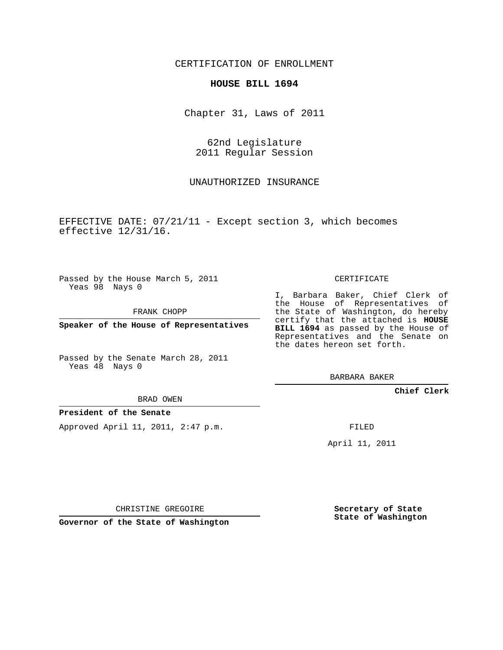CERTIFICATION OF ENROLLMENT

## **HOUSE BILL 1694**

Chapter 31, Laws of 2011

62nd Legislature 2011 Regular Session

UNAUTHORIZED INSURANCE

EFFECTIVE DATE: 07/21/11 - Except section 3, which becomes effective 12/31/16.

Passed by the House March 5, 2011 Yeas 98 Nays 0

FRANK CHOPP

**Speaker of the House of Representatives**

Passed by the Senate March 28, 2011 Yeas 48 Nays 0

I, Barbara Baker, Chief Clerk of the House of Representatives of the State of Washington, do hereby certify that the attached is **HOUSE BILL 1694** as passed by the House of Representatives and the Senate on the dates hereon set forth.

CERTIFICATE

BARBARA BAKER

**Chief Clerk**

BRAD OWEN

**President of the Senate**

Approved April 11, 2011, 2:47 p.m.

FILED

April 11, 2011

CHRISTINE GREGOIRE

**Governor of the State of Washington**

**Secretary of State State of Washington**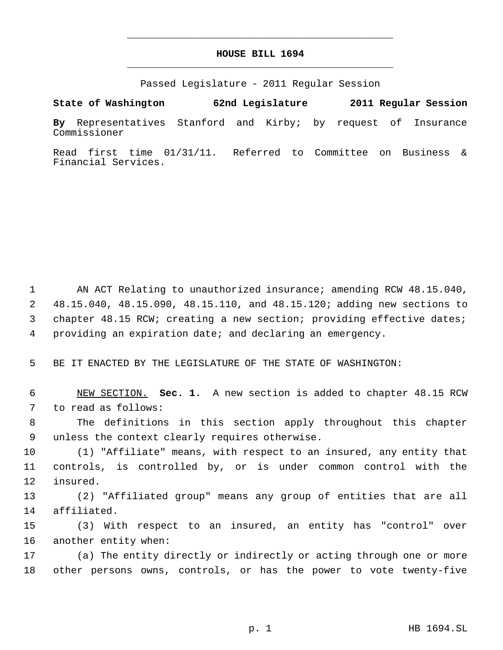## **HOUSE BILL 1694** \_\_\_\_\_\_\_\_\_\_\_\_\_\_\_\_\_\_\_\_\_\_\_\_\_\_\_\_\_\_\_\_\_\_\_\_\_\_\_\_\_\_\_\_\_

\_\_\_\_\_\_\_\_\_\_\_\_\_\_\_\_\_\_\_\_\_\_\_\_\_\_\_\_\_\_\_\_\_\_\_\_\_\_\_\_\_\_\_\_\_

Passed Legislature - 2011 Regular Session

**State of Washington 62nd Legislature 2011 Regular Session**

**By** Representatives Stanford and Kirby; by request of Insurance Commissioner

Read first time 01/31/11. Referred to Committee on Business & Financial Services.

 AN ACT Relating to unauthorized insurance; amending RCW 48.15.040, 48.15.040, 48.15.090, 48.15.110, and 48.15.120; adding new sections to chapter 48.15 RCW; creating a new section; providing effective dates; providing an expiration date; and declaring an emergency.

BE IT ENACTED BY THE LEGISLATURE OF THE STATE OF WASHINGTON:

 NEW SECTION. **Sec. 1.** A new section is added to chapter 48.15 RCW to read as follows:

 The definitions in this section apply throughout this chapter unless the context clearly requires otherwise.

 (1) "Affiliate" means, with respect to an insured, any entity that controls, is controlled by, or is under common control with the insured.

 (2) "Affiliated group" means any group of entities that are all affiliated.

 (3) With respect to an insured, an entity has "control" over another entity when:

 (a) The entity directly or indirectly or acting through one or more other persons owns, controls, or has the power to vote twenty-five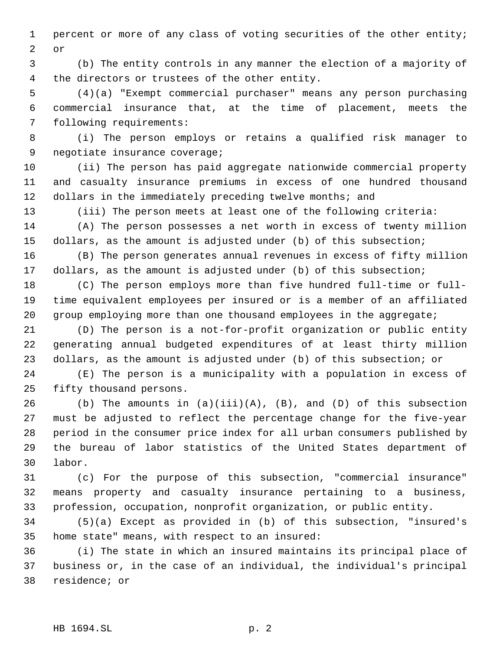percent or more of any class of voting securities of the other entity; or

 (b) The entity controls in any manner the election of a majority of the directors or trustees of the other entity.

 (4)(a) "Exempt commercial purchaser" means any person purchasing commercial insurance that, at the time of placement, meets the following requirements:

 (i) The person employs or retains a qualified risk manager to negotiate insurance coverage;

 (ii) The person has paid aggregate nationwide commercial property and casualty insurance premiums in excess of one hundred thousand 12 dollars in the immediately preceding twelve months; and

(iii) The person meets at least one of the following criteria:

 (A) The person possesses a net worth in excess of twenty million dollars, as the amount is adjusted under (b) of this subsection;

 (B) The person generates annual revenues in excess of fifty million dollars, as the amount is adjusted under (b) of this subsection;

 (C) The person employs more than five hundred full-time or full- time equivalent employees per insured or is a member of an affiliated 20 group employing more than one thousand employees in the aggregate;

 (D) The person is a not-for-profit organization or public entity generating annual budgeted expenditures of at least thirty million dollars, as the amount is adjusted under (b) of this subsection; or

 (E) The person is a municipality with a population in excess of fifty thousand persons.

26 (b) The amounts in  $(a)(iii)(A)$ ,  $(B)$ , and  $(D)$  of this subsection must be adjusted to reflect the percentage change for the five-year period in the consumer price index for all urban consumers published by the bureau of labor statistics of the United States department of labor.

 (c) For the purpose of this subsection, "commercial insurance" means property and casualty insurance pertaining to a business, profession, occupation, nonprofit organization, or public entity.

 (5)(a) Except as provided in (b) of this subsection, "insured's home state" means, with respect to an insured:

 (i) The state in which an insured maintains its principal place of business or, in the case of an individual, the individual's principal residence; or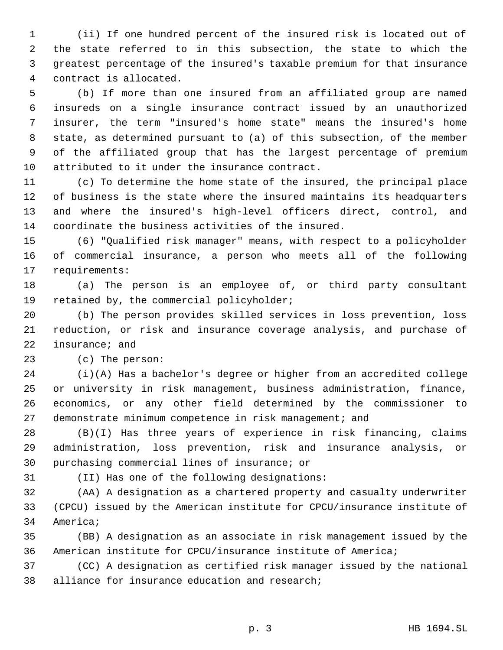(ii) If one hundred percent of the insured risk is located out of the state referred to in this subsection, the state to which the greatest percentage of the insured's taxable premium for that insurance contract is allocated.

 (b) If more than one insured from an affiliated group are named insureds on a single insurance contract issued by an unauthorized insurer, the term "insured's home state" means the insured's home state, as determined pursuant to (a) of this subsection, of the member of the affiliated group that has the largest percentage of premium attributed to it under the insurance contract.

 (c) To determine the home state of the insured, the principal place of business is the state where the insured maintains its headquarters and where the insured's high-level officers direct, control, and coordinate the business activities of the insured.

 (6) "Qualified risk manager" means, with respect to a policyholder of commercial insurance, a person who meets all of the following requirements:

 (a) The person is an employee of, or third party consultant retained by, the commercial policyholder;

 (b) The person provides skilled services in loss prevention, loss reduction, or risk and insurance coverage analysis, and purchase of insurance; and

(c) The person:

 (i)(A) Has a bachelor's degree or higher from an accredited college or university in risk management, business administration, finance, economics, or any other field determined by the commissioner to demonstrate minimum competence in risk management; and

 (B)(I) Has three years of experience in risk financing, claims administration, loss prevention, risk and insurance analysis, or purchasing commercial lines of insurance; or

(II) Has one of the following designations:

 (AA) A designation as a chartered property and casualty underwriter (CPCU) issued by the American institute for CPCU/insurance institute of America;

 (BB) A designation as an associate in risk management issued by the American institute for CPCU/insurance institute of America;

 (CC) A designation as certified risk manager issued by the national alliance for insurance education and research;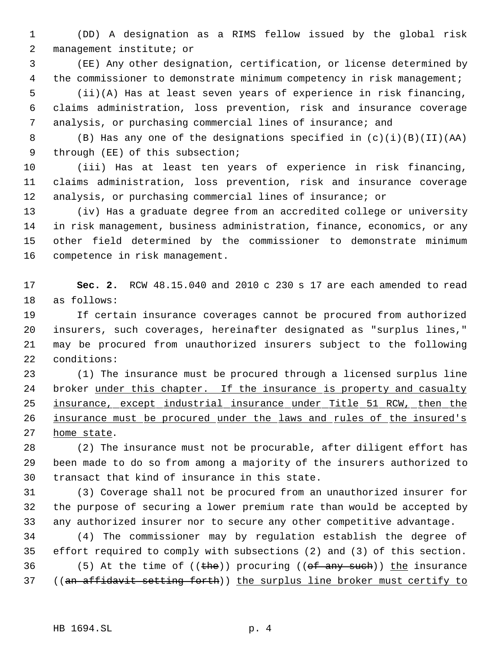(DD) A designation as a RIMS fellow issued by the global risk management institute; or

 (EE) Any other designation, certification, or license determined by 4 the commissioner to demonstrate minimum competency in risk management; (ii)(A) Has at least seven years of experience in risk financing, claims administration, loss prevention, risk and insurance coverage analysis, or purchasing commercial lines of insurance; and

 (B) Has any one of the designations specified in (c)(i)(B)(II)(AA) through (EE) of this subsection;

 (iii) Has at least ten years of experience in risk financing, claims administration, loss prevention, risk and insurance coverage analysis, or purchasing commercial lines of insurance; or

 (iv) Has a graduate degree from an accredited college or university in risk management, business administration, finance, economics, or any other field determined by the commissioner to demonstrate minimum competence in risk management.

 **Sec. 2.** RCW 48.15.040 and 2010 c 230 s 17 are each amended to read as follows:

 If certain insurance coverages cannot be procured from authorized insurers, such coverages, hereinafter designated as "surplus lines," may be procured from unauthorized insurers subject to the following conditions:

 (1) The insurance must be procured through a licensed surplus line broker under this chapter. If the insurance is property and casualty 25 insurance, except industrial insurance under Title 51 RCW, then the 26 insurance must be procured under the laws and rules of the insured's home state.

 (2) The insurance must not be procurable, after diligent effort has been made to do so from among a majority of the insurers authorized to transact that kind of insurance in this state.

 (3) Coverage shall not be procured from an unauthorized insurer for the purpose of securing a lower premium rate than would be accepted by any authorized insurer nor to secure any other competitive advantage.

 (4) The commissioner may by regulation establish the degree of effort required to comply with subsections (2) and (3) of this section. 36 (5) At the time of  $((the))$  procuring  $((of any such))$  the insurance ((an affidavit setting forth)) the surplus line broker must certify to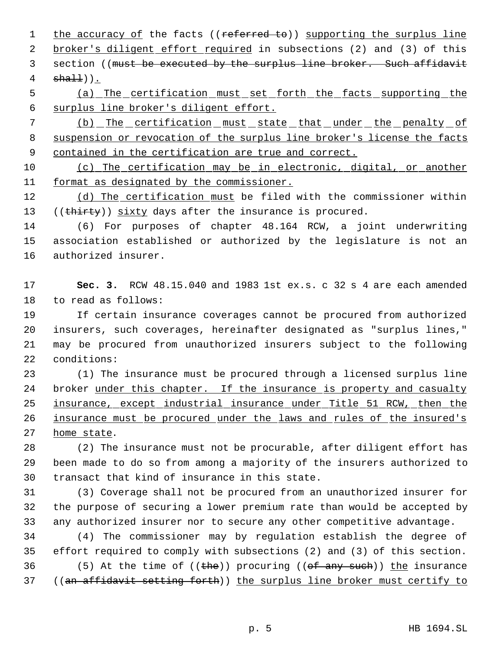1 the accuracy of the facts ((referred to)) supporting the surplus line 2 broker's diligent effort required in subsections (2) and (3) of this 3 section ((must be executed by the surplus line broker. Such affidavit  $sha11$ )).

 (a) The certification must set forth the facts supporting the surplus line broker's diligent effort.

 (b) The certification must state that under the penalty of suspension or revocation of the surplus line broker's license the facts 9 contained in the certification are true and correct.

 (c) The certification may be in electronic, digital, or another format as designated by the commissioner.

 (d) The certification must be filed with the commissioner within 13 ((thirty)) sixty days after the insurance is procured.

 (6) For purposes of chapter 48.164 RCW, a joint underwriting association established or authorized by the legislature is not an authorized insurer.

 **Sec. 3.** RCW 48.15.040 and 1983 1st ex.s. c 32 s 4 are each amended to read as follows:

 If certain insurance coverages cannot be procured from authorized insurers, such coverages, hereinafter designated as "surplus lines," may be procured from unauthorized insurers subject to the following conditions:

 (1) The insurance must be procured through a licensed surplus line broker under this chapter. If the insurance is property and casualty 25 insurance, except industrial insurance under Title 51 RCW, then the 26 insurance must be procured under the laws and rules of the insured's home state.

 (2) The insurance must not be procurable, after diligent effort has been made to do so from among a majority of the insurers authorized to transact that kind of insurance in this state.

 (3) Coverage shall not be procured from an unauthorized insurer for the purpose of securing a lower premium rate than would be accepted by any authorized insurer nor to secure any other competitive advantage.

 (4) The commissioner may by regulation establish the degree of effort required to comply with subsections (2) and (3) of this section. 36 (5) At the time of  $((the))$  procuring  $((of any such))$  the insurance ((an affidavit setting forth)) the surplus line broker must certify to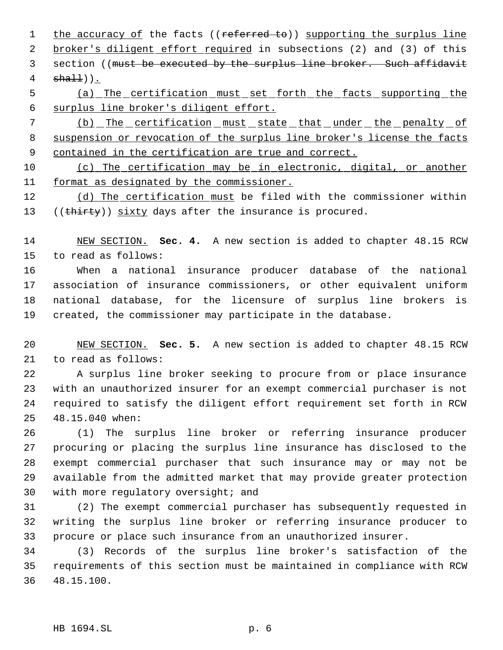1 the accuracy of the facts ((referred to)) supporting the surplus line 2 broker's diligent effort required in subsections (2) and (3) of this 3 section ((must be executed by the surplus line broker. Such affidavit  $sha11$ )).

 (a) The certification must set forth the facts supporting the surplus line broker's diligent effort.

 (b) The certification must state that under the penalty of 8 suspension or revocation of the surplus line broker's license the facts 9 contained in the certification are true and correct.

 (c) The certification may be in electronic, digital, or another format as designated by the commissioner.

 (d) The certification must be filed with the commissioner within 13 ((thirty)) sixty days after the insurance is procured.

 NEW SECTION. **Sec. 4.** A new section is added to chapter 48.15 RCW to read as follows:

 When a national insurance producer database of the national association of insurance commissioners, or other equivalent uniform national database, for the licensure of surplus line brokers is created, the commissioner may participate in the database.

 NEW SECTION. **Sec. 5.** A new section is added to chapter 48.15 RCW to read as follows:

 A surplus line broker seeking to procure from or place insurance with an unauthorized insurer for an exempt commercial purchaser is not required to satisfy the diligent effort requirement set forth in RCW 48.15.040 when:

 (1) The surplus line broker or referring insurance producer procuring or placing the surplus line insurance has disclosed to the exempt commercial purchaser that such insurance may or may not be available from the admitted market that may provide greater protection 30 with more regulatory oversight; and

 (2) The exempt commercial purchaser has subsequently requested in writing the surplus line broker or referring insurance producer to procure or place such insurance from an unauthorized insurer.

 (3) Records of the surplus line broker's satisfaction of the requirements of this section must be maintained in compliance with RCW 48.15.100.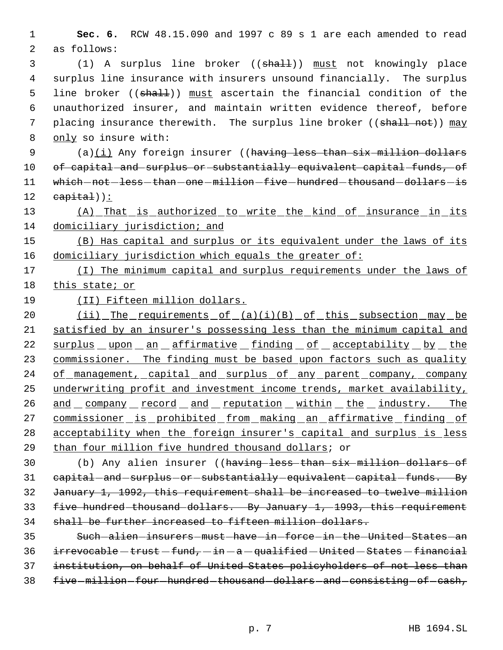1 **Sec. 6.** RCW 48.15.090 and 1997 c 89 s 1 are each amended to read 2 as follows:

 (1) A surplus line broker ((shall)) must not knowingly place surplus line insurance with insurers unsound financially. The surplus 5 line broker ((shall)) must ascertain the financial condition of the unauthorized insurer, and maintain written evidence thereof, before 7 placing insurance therewith. The surplus line broker ((shall not)) may only so insure with:

9 (a)(i) Any foreign insurer ((having less than six million dollars 10 of capital and surplus or substantially equivalent capital funds, of 11 which-not-less-than-one-million-five-hundred-thousand-dollars-is  $12$  capital)):

13 (A) That is authorized to write the kind of insurance in its 14 domiciliary jurisdiction; and

15 (B) Has capital and surplus or its equivalent under the laws of its 16 domiciliary jurisdiction which equals the greater of:

17 (I) The minimum capital and surplus requirements under the laws of 18 this state; or

19 (II) Fifteen million dollars.

20 (ii) The requirements of (a)(i)(B) of this subsection may be 21 satisfied by an insurer's possessing less than the minimum capital and 22 surplus upon an affirmative finding of acceptability by the 23 commissioner. The finding must be based upon factors such as quality 24 of management, capital and surplus of any parent company, company 25 underwriting profit and investment income trends, market availability, 26 and company record and reputation within the industry. The 27 commissioner is prohibited from making an affirmative finding of 28 acceptability when the foreign insurer's capital and surplus is less 29 than four million five hundred thousand dollars; or

 (b) Any alien insurer ((having less than six million dollars of 31 capital - and - surplus - or - substantially - equivalent - capital - funds. By January 1, 1992, this requirement shall be increased to twelve million five hundred thousand dollars. By January 1, 1993, this requirement shall be further increased to fifteen million dollars.

 Such alien insurers must have in force in the United States an irrevocable - trust - fund, - in  $-a$  - qualified - United - States - financial institution, on behalf of United States policyholders of not less than 38 five-million-four-hundred-thousand-dollars-and-consisting-of-cash,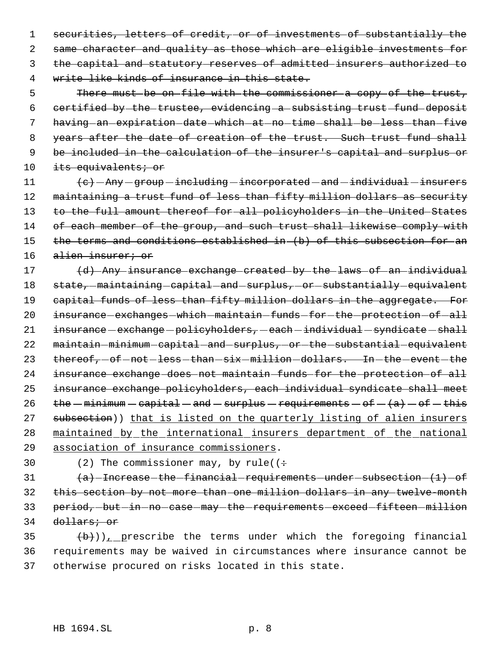1 securities, letters of credit, or of investments of substantially the same character and quality as those which are eligible investments for the capital and statutory reserves of admitted insurers authorized to write like kinds of insurance in this state.

 5 There must be on file with the commissioner a copy of the trust, 6 certified by the trustee, evidencing a subsisting trust fund deposit 7 having-an-expiration-date-which-at-no-time-shall-be-less-than-five 8 years after the date of creation of the trust. Such trust fund shall 9 be included in the calculation of the insurer's capital and surplus or 10 its equivalents; or

 $11$   $\left\{e\right\}$  - Any - group - including - incorporated - and - individual - insurers 12 maintaining a trust fund of less than fifty million dollars as security 13 to the full amount thereof for all policyholders in the United States 14 of each member of the group, and such trust shall likewise comply with 15 the terms and conditions established in (b) of this subsection for an 16 alien insurer; or

17 (d) Any insurance exchange created by the laws of an individual 18 state,  $-maintaining-capital-and-surplus$ , or substantially equivalent 19 capital funds of less than fifty million dollars in the aggregate. For 20 insurance-exchanges-which-maintain-funds-for-the-protection-of-all 21  $i$ nsurance  $-$  exchange  $-p$ olicyholders,  $-e$ ach  $-i$ ndividual  $-s$ yndicate  $-s$ hall 22 maintain-minimum-capital-and-surplus, or the substantial equivalent 23 thereof, of not less than six million dollars. In the event the 24 insurance exchange does not maintain funds for the protection of all 25 insurance exchange policyholders, each individual syndicate shall meet 26 the  $-minimum - capital - and - surplus - requirements - of - $(a)$  - of - this$ 27 subsection)) that is listed on the quarterly listing of alien insurers 28 maintained by the international insurers department of the national 29 association of insurance commissioners.

30 (2) The commissioner may, by rule( $($  +

 $a)$  -Increase the financial requirements under subsection  $(1)$  of 32 this section by not more than one million dollars in any twelve-month 33 period, but in no case may the requirements exceed fifteen million 34 dollars; or

35  $(\frac{b}{b})$ ), prescribe the terms under which the foregoing financial 36 requirements may be waived in circumstances where insurance cannot be 37 otherwise procured on risks located in this state.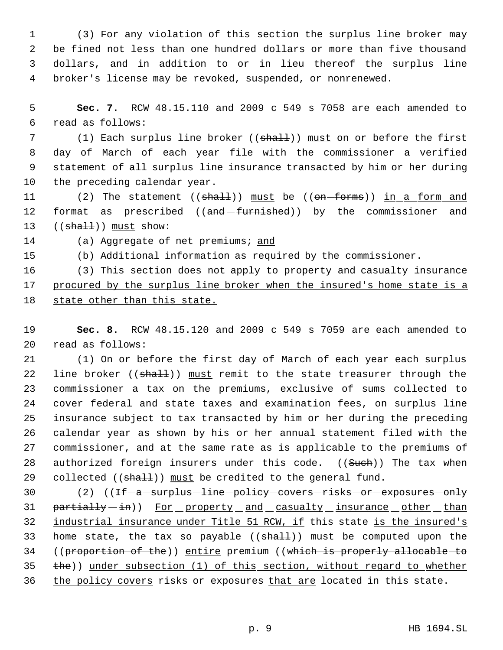(3) For any violation of this section the surplus line broker may be fined not less than one hundred dollars or more than five thousand dollars, and in addition to or in lieu thereof the surplus line broker's license may be revoked, suspended, or nonrenewed.

 5 **Sec. 7.** RCW 48.15.110 and 2009 c 549 s 7058 are each amended to 6 read as follows:

7 (1) Each surplus line broker ((shall)) must on or before the first day of March of each year file with the commissioner a verified statement of all surplus line insurance transacted by him or her during the preceding calendar year.

11 (2) The statement ((shall)) must be ((on-forms)) in a form and 12 format as prescribed ((and-furnished)) by the commissioner and 13  $((shall))$  must show:

14 (a) Aggregate of net premiums; and

15 (b) Additional information as required by the commissioner.

16 (3) This section does not apply to property and casualty insurance 17 procured by the surplus line broker when the insured's home state is a 18 state other than this state.

19 **Sec. 8.** RCW 48.15.120 and 2009 c 549 s 7059 are each amended to 20 read as follows:

 (1) On or before the first day of March of each year each surplus 22 line broker ((shall)) must remit to the state treasurer through the commissioner a tax on the premiums, exclusive of sums collected to cover federal and state taxes and examination fees, on surplus line insurance subject to tax transacted by him or her during the preceding calendar year as shown by his or her annual statement filed with the commissioner, and at the same rate as is applicable to the premiums of 28 authorized foreign insurers under this code. ((Such)) The tax when 29 collected  $((shalt))$  must be credited to the general fund.

30 (2) ((If-a-surplus-line-policy-covers-risks-or-exposures-only 31 partially -in)) For property and casualty insurance other than 32 industrial insurance under Title 51 RCW, if this state is the insured's 33 home state, the tax so payable ((shall)) must be computed upon the 34 ((proportion of the)) entire premium ((which is properly allocable to 35 the)) under subsection (1) of this section, without regard to whether 36 the policy covers risks or exposures that are located in this state.